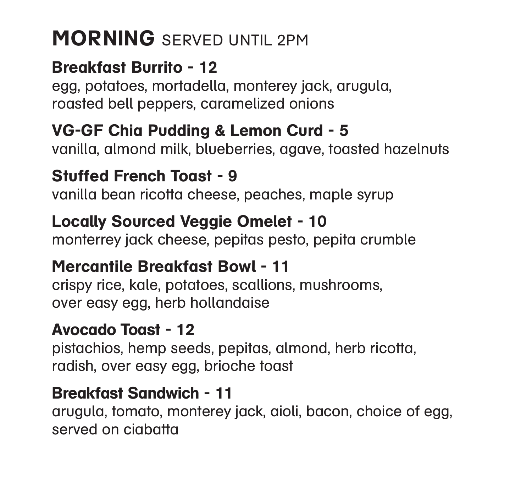# MORNING SERVED UNTIL 2PM

Breakfast Burrito - 12 egg, potatoes, mortadella, monterey jack, arugula, roasted bell peppers, caramelized onions

Stuffed French Toast - 9 vanilla bean ricotta cheese, peaches, maple syrup

VG-GF Chia Pudding & Lemon Curd - 5 vanilla, almond milk, blueberries, agave, toasted hazelnuts

Locally Sourced Veggie Omelet - 10 monterrey jack cheese, pepitas pesto, pepita crumble

Mercantile Breakfast Bowl - 11 crispy rice, kale, potatoes, scallions, mushrooms, over easy egg, herb hollandaise

Avocado Toast - 12 pistachios, hemp seeds, pepitas, almond, herb ricotta, radish, over easy egg, brioche toast

Breakfast Sandwich - 11 arugula, tomato, monterey jack, aioli, bacon, choice of egg, served on ciabatta



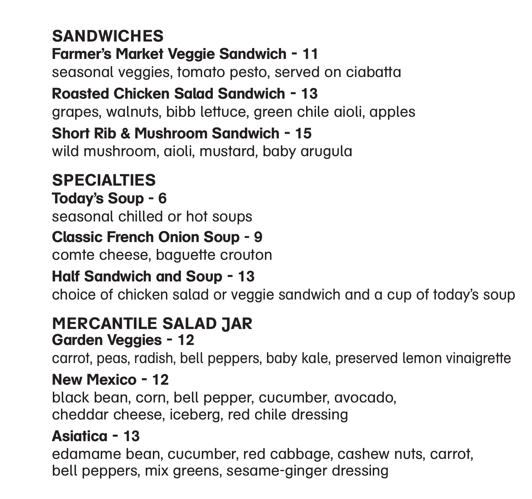seasonal veggies, tomato pesto, served on ciabatta grapes, walnuts, bibb lettuce, green chile aioli, apples

# **SANDWICHES** Farmer's Market Veggie Sandwich - 11 Roasted Chicken Salad Sandwich - 13 Short Rib & Mushroom Sandwich - 15 wild mushroom, aioli, mustard, baby arugula

## SPECIALTIES Today's Soup - 6 seasonal chilled or hot soups Classic French Onion Soup - 9 comte cheese, baguette crouton Half Sandwich and Soup - 13

choice of chicken salad or veggie sandwich and a cup of today's soup

## MERCANTILE SALAD JAR Garden Veggies - 12

carrot, peas, radish, bell peppers, baby kale, preserved lemon vinaigrette

### New Mexico - 12

black bean, corn, bell pepper, cucumber, avocado, cheddar cheese, iceberg, red chile dressing

### Asiatica - 13

edamame bean, cucumber, red cabbage, cashew nuts, carrot, bell peppers, mix greens, sesame-ginger dressing